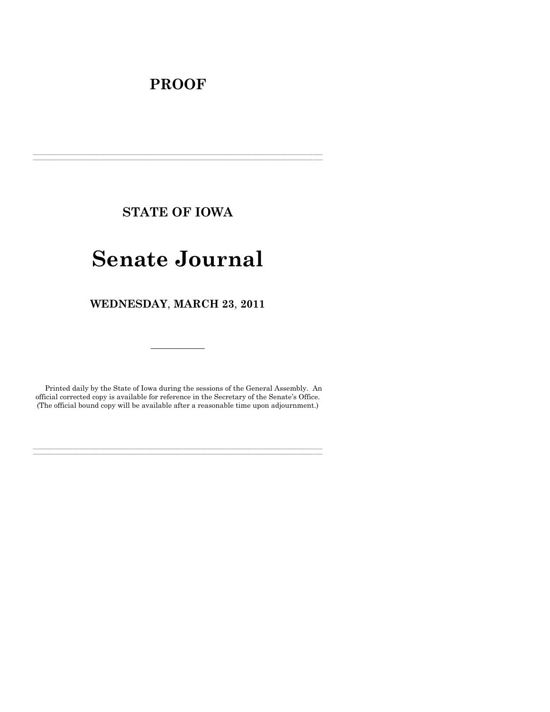# **PROOF**

**STATE OF IOWA**

**\_\_\_\_\_\_\_\_\_\_\_\_\_\_\_\_\_\_\_\_\_\_\_\_\_\_\_\_\_\_\_\_\_\_\_\_\_\_\_\_\_\_\_\_\_\_\_\_\_\_\_\_\_\_\_\_\_\_\_\_\_\_\_\_\_\_\_\_\_\_\_\_\_\_\_\_\_\_\_\_\_\_\_\_\_\_\_\_\_\_\_\_\_\_\_\_\_\_\_\_\_\_\_\_\_\_\_\_\_\_\_\_\_\_\_\_\_\_\_\_\_\_\_\_\_\_\_\_\_ \_\_\_\_\_\_\_\_\_\_\_\_\_\_\_\_\_\_\_\_\_\_\_\_\_\_\_\_\_\_\_\_\_\_\_\_\_\_\_\_\_\_\_\_\_\_\_\_\_\_\_\_\_\_\_\_\_\_\_\_\_\_\_\_\_\_\_\_\_\_\_\_\_\_\_\_\_\_\_\_\_\_\_\_\_\_\_\_\_\_\_\_\_\_\_\_\_\_\_\_\_\_\_\_\_\_\_\_\_\_\_\_\_\_\_\_\_\_\_\_\_\_\_\_\_\_\_\_\_**

# **Senate Journal**

**WEDNESDAY**, **MARCH 23**, **2011**

Printed daily by the State of Iowa during the sessions of the General Assembly. An official corrected copy is available for reference in the Secretary of the Senate's Office. (The official bound copy will be available after a reasonable time upon adjournment.)

**\_\_\_\_\_\_\_\_\_\_\_\_\_\_\_\_\_\_\_\_\_\_\_\_\_\_\_\_\_\_\_\_\_\_\_\_\_\_\_\_\_\_\_\_\_\_\_\_\_\_\_\_\_\_\_\_\_\_\_\_\_\_\_\_\_\_\_\_\_\_\_\_\_\_\_\_\_\_\_\_\_\_\_\_\_\_\_\_\_\_\_\_\_\_\_\_\_\_\_\_\_\_\_\_\_\_\_\_\_\_\_\_\_\_\_\_\_\_\_\_\_\_\_\_\_\_\_\_\_ \_\_\_\_\_\_\_\_\_\_\_\_\_\_\_\_\_\_\_\_\_\_\_\_\_\_\_\_\_\_\_\_\_\_\_\_\_\_\_\_\_\_\_\_\_\_\_\_\_\_\_\_\_\_\_\_\_\_\_\_\_\_\_\_\_\_\_\_\_\_\_\_\_\_\_\_\_\_\_\_\_\_\_\_\_\_\_\_\_\_\_\_\_\_\_\_\_\_\_\_\_\_\_\_\_\_\_\_\_\_\_\_\_\_\_\_\_\_\_\_\_\_\_\_\_\_\_\_\_**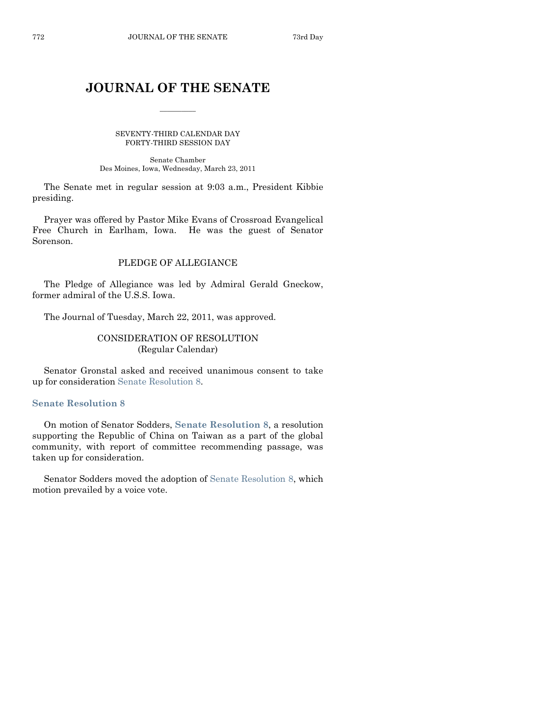# **JOURNAL OF THE SENATE**

 $\frac{1}{2}$ 

SEVENTY-THIRD CALENDAR DAY FORTY-THIRD SESSION DAY

Senate Chamber Des Moines, Iowa, Wednesday, March 23, 2011

The Senate met in regular session at 9:03 a.m., President Kibbie presiding.

Prayer was offered by Pastor Mike Evans of Crossroad Evangelical Free Church in Earlham, Iowa. He was the guest of Senator Sorenson.

# PLEDGE OF ALLEGIANCE

The Pledge of Allegiance was led by Admiral Gerald Gneckow, former admiral of the U.S.S. Iowa.

The Journal of Tuesday, March 22, 2011, was approved.

# CONSIDERATION OF RESOLUTION (Regular Calendar)

Senator Gronstal asked and received unanimous consent to take up for consideration [Senate Resolution 8.](http://coolice.legis.state.ia.us/Cool-ICE/default.asp?Category=billinfo&Service=Billbook&frame=1&GA=84&hbill=SR8)

#### **[Senate Resolution 8](http://coolice.legis.state.ia.us/Cool-ICE/default.asp?Category=billinfo&Service=Billbook&frame=1&GA=84&hbill=SR8)**

On motion of Senator Sodders, **Senate [Resolution 8](http://coolice.legis.state.ia.us/Cool-ICE/default.asp?Category=billinfo&Service=Billbook&frame=1&GA=84&hbill=SR8)**, a resolution supporting the Republic of China on Taiwan as a part of the global community, with report of committee recommending passage, was taken up for consideration.

Senator Sodders moved the adoption of [Senate Resolution 8,](http://coolice.legis.state.ia.us/Cool-ICE/default.asp?Category=billinfo&Service=Billbook&frame=1&GA=84&hbill=SR8) which motion prevailed by a voice vote.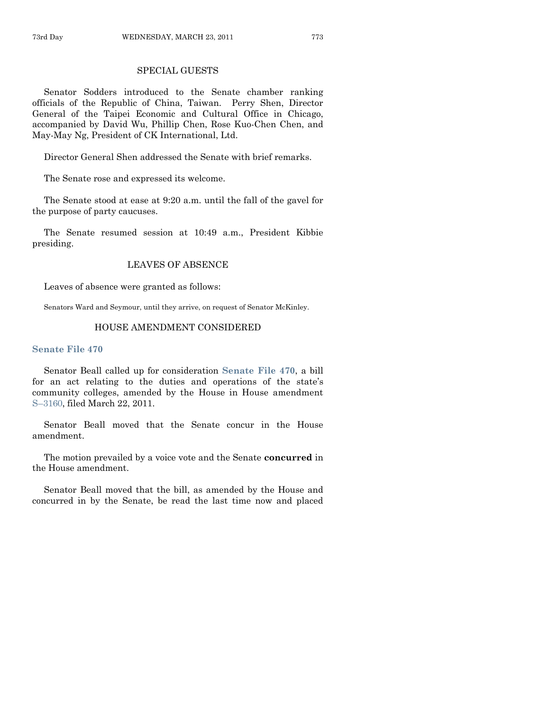#### SPECIAL GUESTS

Senator Sodders introduced to the Senate chamber ranking officials of the Republic of China, Taiwan. Perry Shen, Director General of the Taipei Economic and Cultural Office in Chicago, accompanied by David Wu, Phillip Chen, Rose Kuo-Chen Chen, and May-May Ng, President of CK International, Ltd.

Director General Shen addressed the Senate with brief remarks.

The Senate rose and expressed its welcome.

The Senate stood at ease at 9:20 a.m. until the fall of the gavel for the purpose of party caucuses.

The Senate resumed session at 10:49 a.m., President Kibbie presiding.

#### LEAVES OF ABSENCE

Leaves of absence were granted as follows:

Senators Ward and Seymour, until they arrive, on request of Senator McKinley.

#### HOUSE AMENDMENT CONSIDERED

#### **[Senate File 470](http://coolice.legis.state.ia.us/Cool-ICE/default.asp?Category=billinfo&Service=Billbook&frame=1&GA=84&hbill=SF470)**

Senator Beall called up for consideration **[Senate File 470](http://coolice.legis.state.ia.us/Cool-ICE/default.asp?Category=billinfo&Service=Billbook&frame=1&GA=84&hbill=SF470)**, a bill for an act relating to the duties and operations of the state's community colleges, amended by the House in House amendment S–[3160,](http://coolice.legis.state.ia.us/Cool-ICE/default.asp?Category=billinfo&Service=Billbook&frame=1&GA=84&hbill=S3160) filed March 22, 2011.

Senator Beall moved that the Senate concur in the House amendment.

The motion prevailed by a voice vote and the Senate **concurred** in the House amendment.

Senator Beall moved that the bill, as amended by the House and concurred in by the Senate, be read the last time now and placed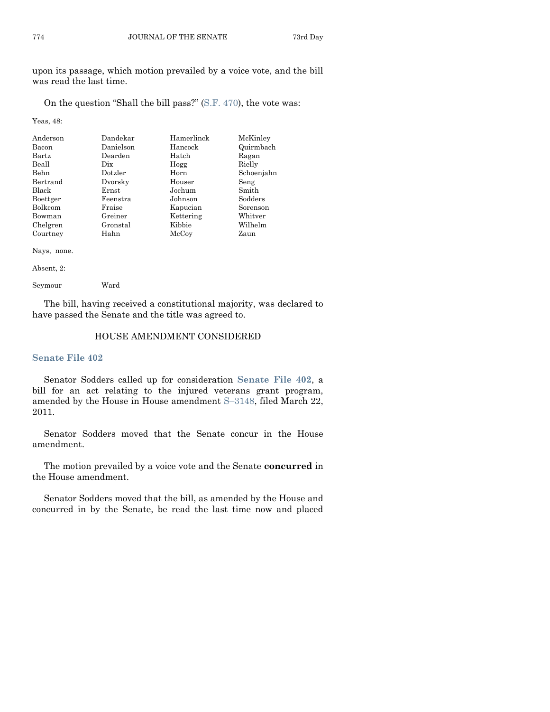upon its passage, which motion prevailed by a voice vote, and the bill was read the last time.

On the question "Shall the bill pass?"  $(S.F. 470)$ , the vote was:

Yeas, 48:

| Anderson    | Dandekar  | Hamerlinck | McKinley   |
|-------------|-----------|------------|------------|
| Bacon       | Danielson | Hancock    | Quirmbach  |
| Bartz       | Dearden   | Hatch      | Ragan      |
| Beall       | Dix.      | Hogg       | Rielly     |
| Behn        | Dotzler   | Horn       | Schoenjahn |
| Bertrand    | Dvorsky   | Houser     | Seng       |
| Black       | Ernst     | Jochum     | Smith      |
| Boettger    | Feenstra  | Johnson    | Sodders    |
| Bolkcom     | Fraise    | Kapucian   | Sorenson   |
| Bowman      | Greiner   | Kettering  | Whitver    |
| Chelgren    | Gronstal  | Kibbie     | Wilhelm    |
| Courtney    | Hahn      | McCoy      | Zaun       |
| Nays, none. |           |            |            |

Absent, 2: Seymour Ward

The bill, having received a constitutional majority, was declared to have passed the Senate and the title was agreed to.

# HOUSE AMENDMENT CONSIDERED

#### **[Senate File 402](http://coolice.legis.state.ia.us/Cool-ICE/default.asp?Category=billinfo&Service=Billbook&frame=1&GA=84&hbill=SF402)**

Senator Sodders called up for consideration **[Senate File 402](http://coolice.legis.state.ia.us/Cool-ICE/default.asp?Category=billinfo&Service=Billbook&frame=1&GA=84&hbill=SF402)**, a bill for an act relating to the injured veterans grant program, amended by the House in House amendment S–[3148,](http://coolice.legis.state.ia.us/Cool-ICE/default.asp?Category=billinfo&Service=Billbook&frame=1&GA=84&hbill=S3148) filed March 22, 2011.

Senator Sodders moved that the Senate concur in the House amendment.

The motion prevailed by a voice vote and the Senate **concurred** in the House amendment.

Senator Sodders moved that the bill, as amended by the House and concurred in by the Senate, be read the last time now and placed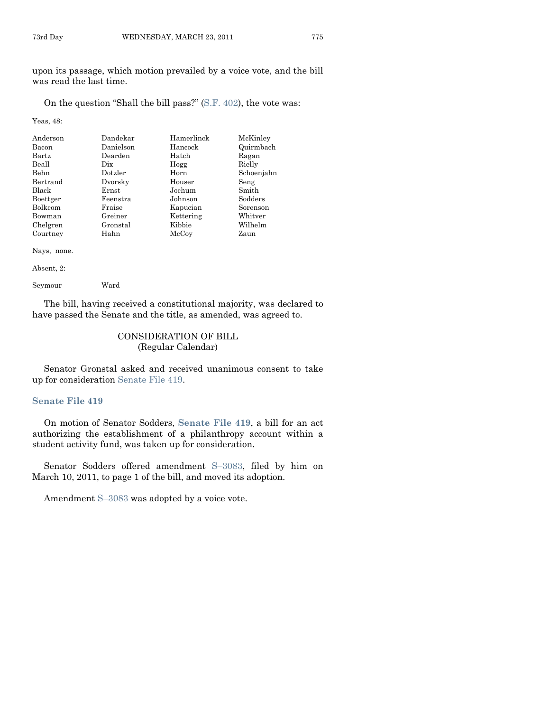upon its passage, which motion prevailed by a voice vote, and the bill was read the last time.

On the question "Shall the bill pass?"  $(S.F. 402)$ , the vote was:

Yeas, 48:

| Anderson    | Dandekar                        | Hamerlinck | McKinley   |
|-------------|---------------------------------|------------|------------|
| Bacon       | Danielson                       | Hancock    | Quirmbach  |
| Bartz       | Dearden                         | Hatch      | Ragan      |
| Beall       | $_{\rm \scriptscriptstyle Dix}$ | Hogg       | Rielly     |
| <b>Behn</b> | Dotzler                         | Horn       | Schoenjahn |
| Bertrand    | Dvorsky                         | Houser     | Seng       |
| Black       | Ernst                           | Jochum     | Smith      |
| Boettger    | Feenstra                        | Johnson    | Sodders    |
| Bolkcom     | Fraise                          | Kapucian   | Sorenson   |
| Bowman      | Greiner                         | Kettering  | Whitver    |
| Chelgren    | Gronstal                        | Kibbie     | Wilhelm    |
| Courtney    | Hahn                            | McCoy      | Zaun       |
| Nays, none. |                                 |            |            |

Absent, 2: Seymour Ward

The bill, having received a constitutional majority, was declared to have passed the Senate and the title, as amended, was agreed to.

# CONSIDERATION OF BILL (Regular Calendar)

Senator Gronstal asked and received unanimous consent to take up for consideration [Senate File 419.](http://coolice.legis.state.ia.us/Cool-ICE/default.asp?Category=billinfo&Service=Billbook&frame=1&GA=84&hbill=SF419)

#### **[Senate File 419](http://coolice.legis.state.ia.us/Cool-ICE/default.asp?Category=billinfo&Service=Billbook&frame=1&GA=84&hbill=SF419)**

On motion of Senator Sodders, **[Senate File 419](http://coolice.legis.state.ia.us/Cool-ICE/default.asp?Category=billinfo&Service=Billbook&frame=1&GA=84&hbill=SF419)**, a bill for an act authorizing the establishment of a philanthropy account within a student activity fund, was taken up for consideration.

Senator Sodders offered amendment S–[3083,](http://coolice.legis.state.ia.us/Cool-ICE/default.asp?Category=billinfo&Service=Billbook&frame=1&GA=84&hbill=S3083) filed by him on March 10, 2011, to page 1 of the bill, and moved its adoption.

Amendment S–[3083](http://coolice.legis.state.ia.us/Cool-ICE/default.asp?Category=billinfo&Service=Billbook&frame=1&GA=84&hbill=S3083) was adopted by a voice vote.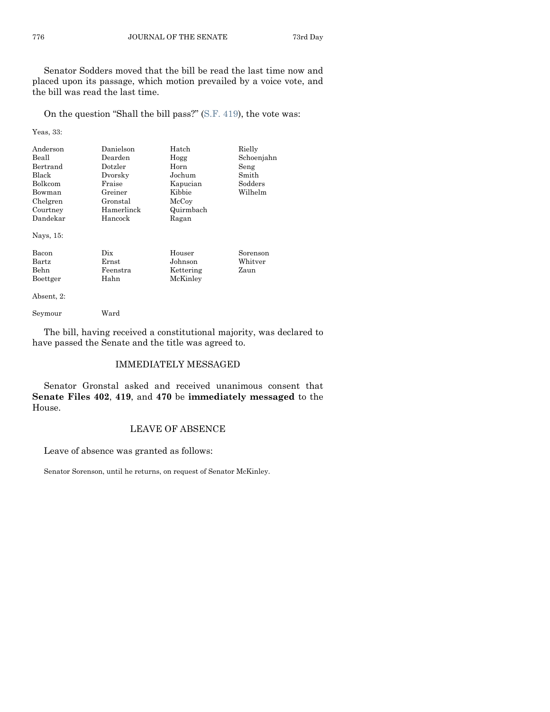Senator Sodders moved that the bill be read the last time now and placed upon its passage, which motion prevailed by a voice vote, and the bill was read the last time.

On the question "Shall the bill pass?" [\(S.F. 419\)](http://coolice.legis.state.ia.us/Cool-ICE/default.asp?Category=billinfo&Service=Billbook&frame=1&GA=84&hbill=SF419), the vote was:

Yeas, 33:

| Anderson<br>Beall<br>Bertrand<br>Black<br><b>Bolkcom</b><br>Bowman<br>Chelgren<br>Courtney<br>Dandekar<br>Nays, 15: | Danielson<br>Dearden<br>Dotzler<br>Dvorsky<br>Fraise<br>Greiner<br>Gronstal<br>Hamerlinck<br>Hancock | Hatch<br>Hogg<br>Horn<br>Jochum<br>Kapucian<br>Kibbie<br>McCoy<br>Quirmbach<br>Ragan | Rielly<br>Schoenjahn<br>Seng<br>Smith<br>Sodders<br>Wilhelm |
|---------------------------------------------------------------------------------------------------------------------|------------------------------------------------------------------------------------------------------|--------------------------------------------------------------------------------------|-------------------------------------------------------------|
| Bacon<br>Bartz<br>Behn<br>Boettger                                                                                  | Dix<br>Ernst<br>Feenstra<br>Hahn                                                                     | Houser<br>Johnson<br>Kettering<br>McKinley                                           | Sorenson<br>Whitver<br>Zaun                                 |

Absent, 2:

Seymour Ward

The bill, having received a constitutional majority, was declared to have passed the Senate and the title was agreed to.

#### IMMEDIATELY MESSAGED

Senator Gronstal asked and received unanimous consent that **Senate Files 402**, **419**, and **470** be **immediately messaged** to the House.

#### LEAVE OF ABSENCE

Leave of absence was granted as follows:

Senator Sorenson, until he returns, on request of Senator McKinley.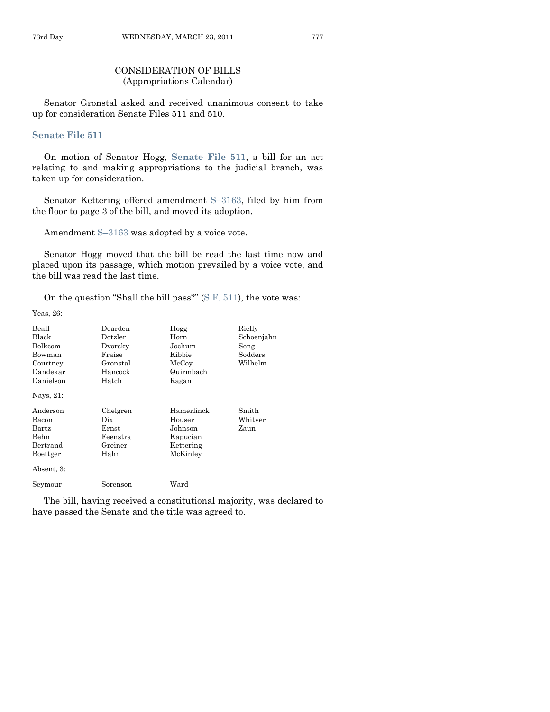# CONSIDERATION OF BILLS (Appropriations Calendar)

Senator Gronstal asked and received unanimous consent to take up for consideration Senate Files 511 and 510.

#### **[Senate File 511](http://coolice.legis.state.ia.us/Cool-ICE/default.asp?Category=billinfo&Service=Billbook&frame=1&GA=84&hbill=SF511)**

On motion of Senator Hogg, **[Senate File 511](http://coolice.legis.state.ia.us/Cool-ICE/default.asp?Category=billinfo&Service=Billbook&frame=1&GA=84&hbill=SF511)**, a bill for an act relating to and making appropriations to the judicial branch, was taken up for consideration.

Senator Kettering offered amendment S–[3163,](http://coolice.legis.state.ia.us/Cool-ICE/default.asp?Category=billinfo&Service=Billbook&frame=1&GA=84&hbill=S3163) filed by him from the floor to page 3 of the bill, and moved its adoption.

Amendment S–[3163](http://coolice.legis.state.ia.us/Cool-ICE/default.asp?Category=billinfo&Service=Billbook&frame=1&GA=84&hbill=S3163) was adopted by a voice vote.

Senator Hogg moved that the bill be read the last time now and placed upon its passage, which motion prevailed by a voice vote, and the bill was read the last time.

On the question "Shall the bill pass?"  $(S.F. 511)$ , the vote was:

Yeas, 26:

| Beall          | Dearden  | Hogg       | Rielly     |
|----------------|----------|------------|------------|
| Black          | Dotzler  | Horn       | Schoenjahn |
| Bolkcom        | Dvorsky  | Jochum     | Seng       |
| Bowman         | Fraise   | Kibbie     | Sodders    |
| Courtney       | Gronstal | McCoy      | Wilhelm    |
| Dandekar       | Hancock  | Quirmbach  |            |
| Danielson      | Hatch    | Ragan      |            |
| Nays, 21:      |          |            |            |
| Anderson       | Chelgren | Hamerlinck | Smith      |
| Bacon          | Dix      | Houser     | Whitver    |
| $_{\rm Bartz}$ | Ernst    | Johnson    | Zaun       |
| <b>Behn</b>    | Feenstra | Kapucian   |            |
| Bertrand       | Greiner  | Kettering  |            |
| Boettger       | Hahn     | McKinley   |            |
|                |          |            |            |
| Absent, 3:     |          |            |            |

The bill, having received a constitutional majority, was declared to have passed the Senate and the title was agreed to.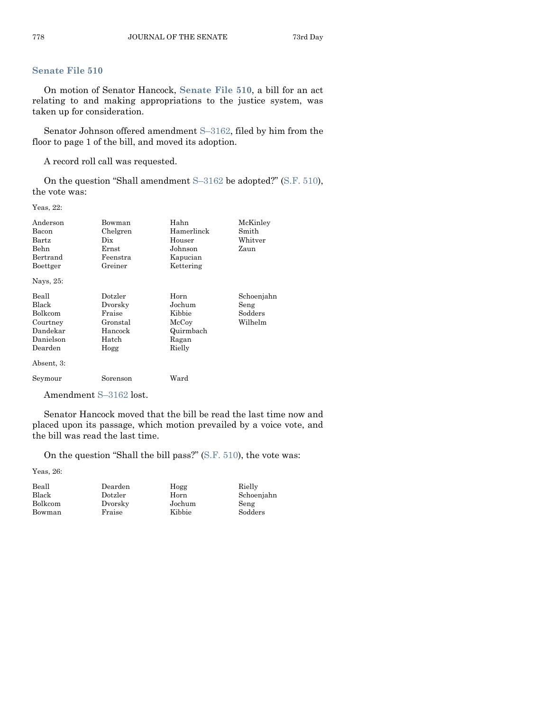# **[Senate File 510](http://coolice.legis.state.ia.us/Cool-ICE/default.asp?Category=billinfo&Service=Billbook&frame=1&GA=84&hbill=SF510)**

On motion of Senator Hancock, **[Senate File 510](http://coolice.legis.state.ia.us/Cool-ICE/default.asp?Category=billinfo&Service=Billbook&frame=1&GA=84&hbill=SF510)**, a bill for an act relating to and making appropriations to the justice system, was taken up for consideration.

Senator Johnson offered amendment S–[3162,](http://coolice.legis.state.ia.us/Cool-ICE/default.asp?Category=billinfo&Service=Billbook&frame=1&GA=84&hbill=S3162) filed by him from the floor to page 1 of the bill, and moved its adoption.

A record roll call was requested.

On the question "Shall amendment  $S-3162$  $S-3162$  be adopted?" [\(S.F.](http://coolice.legis.state.ia.us/Cool-ICE/default.asp?Category=billinfo&Service=Billbook&frame=1&GA=84&hbill=SF510) 510), the vote was:

Yeas, 22:

| Anderson<br>Bacon<br>Bartz<br>Behn<br>Bertrand<br>Boettger<br>Nays, 25:                 | Bowman<br>Chelgren<br>Dix<br>Ernst<br>Feenstra<br>Greiner            | Hahn<br>Hamerlinck<br>Houser<br>Johnson<br>Kapucian<br>Kettering  | McKinley<br>Smith<br>Whitver<br>Zaun     |
|-----------------------------------------------------------------------------------------|----------------------------------------------------------------------|-------------------------------------------------------------------|------------------------------------------|
| Beall<br>Black<br>Bolkcom<br>Courtney<br>Dandekar<br>Danielson<br>Dearden<br>Absent, 3: | Dotzler<br>Dvorsky<br>Fraise<br>Gronstal<br>Hancock<br>Hatch<br>Hogg | Horn<br>Jochum<br>Kibbie<br>McCoy<br>Quirmbach<br>Ragan<br>Rielly | Schoenjahn<br>Seng<br>Sodders<br>Wilhelm |
| Seymour                                                                                 | Sorenson                                                             | Ward                                                              |                                          |

Amendment S–[3162](http://coolice.legis.state.ia.us/Cool-ICE/default.asp?Category=billinfo&Service=Billbook&frame=1&GA=84&hbill=S3162) lost.

Senator Hancock moved that the bill be read the last time now and placed upon its passage, which motion prevailed by a voice vote, and the bill was read the last time.

On the question "Shall the bill pass?"  $(S.F. 510)$ , the vote was:

Yeas, 26:

| Beall   | Dearden | Hogg   | Rielly     |
|---------|---------|--------|------------|
| Black   | Dotzler | Horn   | Schoenjahn |
| Bolkcom | Dvorsky | Jochum | Seng       |
| Bowman  | Fraise  | Kibbie | Sodders    |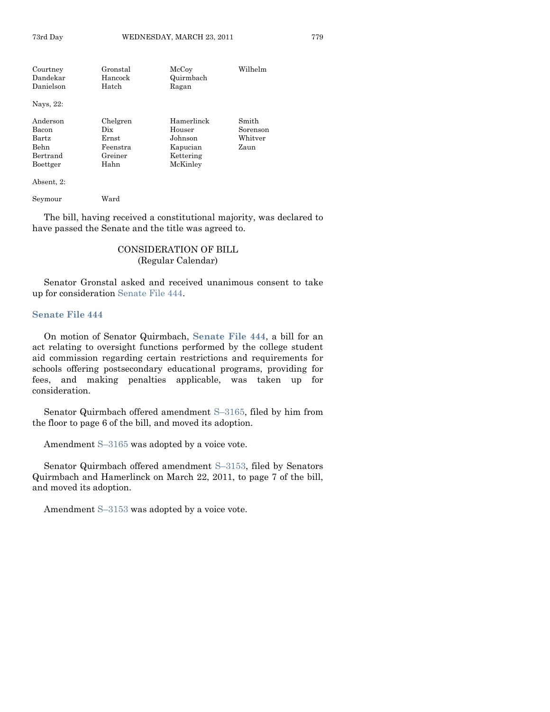| Courtney  | Gronstal | McCoy      | Wilhelm  |
|-----------|----------|------------|----------|
| Dandekar  | Hancock  | Quirmbach  |          |
| Danielson | Hatch    | Ragan      |          |
| Nays, 22: |          |            |          |
| Anderson  | Chelgren | Hamerlinck | Smith    |
| Bacon     | Dix      | Houser     | Sorenson |
| Bartz     | Ernst    | Johnson    | Whitver  |
| Behn      | Feenstra | Kapucian   | Zaun     |
| Bertrand  | Greiner  | Kettering  |          |
| Boettger  | Hahn     | McKinley   |          |
|           |          |            |          |

Absent, 2:

Seymour Ward

The bill, having received a constitutional majority, was declared to have passed the Senate and the title was agreed to.

# CONSIDERATION OF BILL (Regular Calendar)

Senator Gronstal asked and received unanimous consent to take up for consideration [Senate File 444.](http://coolice.legis.state.ia.us/Cool-ICE/default.asp?Category=billinfo&Service=Billbook&frame=1&GA=84&hbill=SF444)

#### **[Senate File 444](http://coolice.legis.state.ia.us/Cool-ICE/default.asp?Category=billinfo&Service=Billbook&frame=1&GA=84&hbill=SF444)**

On motion of Senator Quirmbach, **[Senate File 444](http://coolice.legis.state.ia.us/Cool-ICE/default.asp?Category=billinfo&Service=Billbook&frame=1&GA=84&hbill=SF444)**, a bill for an act relating to oversight functions performed by the college student aid commission regarding certain restrictions and requirements for schools offering postsecondary educational programs, providing for fees, and making penalties applicable, was taken up for consideration.

Senator Quirmbach offered amendment S–[3165,](http://coolice.legis.state.ia.us/Cool-ICE/default.asp?Category=billinfo&Service=Billbook&frame=1&GA=84&hbill=S3165) filed by him from the floor to page 6 of the bill, and moved its adoption.

Amendment S–[3165](http://coolice.legis.state.ia.us/Cool-ICE/default.asp?Category=billinfo&Service=Billbook&frame=1&GA=84&hbill=S3165) was adopted by a voice vote.

Senator Quirmbach offered amendment S–[3153,](http://coolice.legis.state.ia.us/Cool-ICE/default.asp?Category=billinfo&Service=Billbook&frame=1&GA=84&hbill=S3153) filed by Senators Quirmbach and Hamerlinck on March 22, 2011, to page 7 of the bill, and moved its adoption.

Amendment S–[3153](http://coolice.legis.state.ia.us/Cool-ICE/default.asp?Category=billinfo&Service=Billbook&frame=1&GA=84&hbill=S3153) was adopted by a voice vote.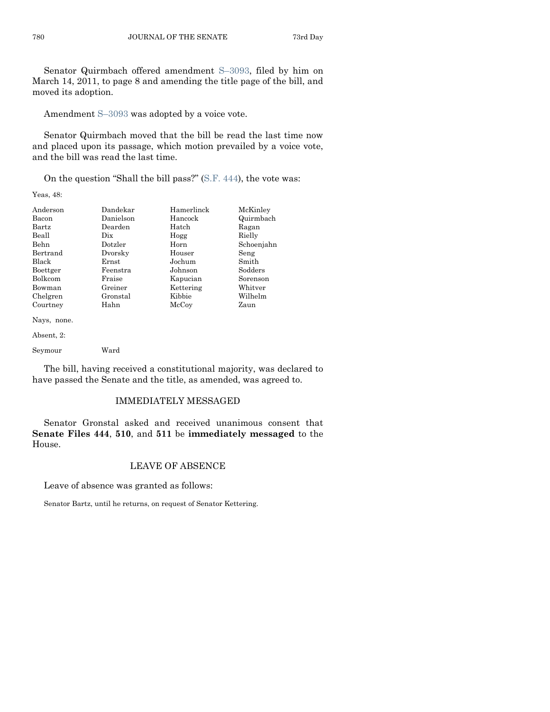Senator Quirmbach offered amendment S–[3093,](http://coolice.legis.state.ia.us/Cool-ICE/default.asp?Category=billinfo&Service=Billbook&frame=1&GA=84&hbill=S3093) filed by him on March 14, 2011, to page 8 and amending the title page of the bill, and moved its adoption.

Amendment S–[3093](http://coolice.legis.state.ia.us/Cool-ICE/default.asp?Category=billinfo&Service=Billbook&frame=1&GA=84&hbill=S3093) was adopted by a voice vote.

Senator Quirmbach moved that the bill be read the last time now and placed upon its passage, which motion prevailed by a voice vote, and the bill was read the last time.

On the question "Shall the bill pass?"  $(S.F. 444)$ , the vote was:

Yeas, 48:

| Anderson       | Dandekar  | Hamerlinck | McKinley   |
|----------------|-----------|------------|------------|
| Bacon          | Danielson | Hancock    | Quirmbach  |
| Bartz          | Dearden   | Hatch      | Ragan      |
| Beall          | Dix       | Hogg       | Rielly     |
| Behn           | Dotzler   | Horn       | Schoenjahn |
| Bertrand       | Dvorsky   | Houser     | Seng       |
| Black          | Ernst     | Jochum     | Smith      |
| Boettger       | Feenstra  | Johnson    | Sodders    |
| <b>Bolkcom</b> | Fraise    | Kapucian   | Sorenson   |
| Bowman         | Greiner   | Kettering  | Whitver    |
| Chelgren       | Gronstal  | Kibbie     | Wilhelm    |
| Courtney       | Hahn      | McCoy      | Zaun       |
| Nays, none.    |           |            |            |

Absent, 2:

Seymour Ward

The bill, having received a constitutional majority, was declared to have passed the Senate and the title, as amended, was agreed to.

#### IMMEDIATELY MESSAGED

Senator Gronstal asked and received unanimous consent that **Senate Files 444**, **510**, and **511** be **immediately messaged** to the House.

## LEAVE OF ABSENCE

Leave of absence was granted as follows:

Senator Bartz, until he returns, on request of Senator Kettering.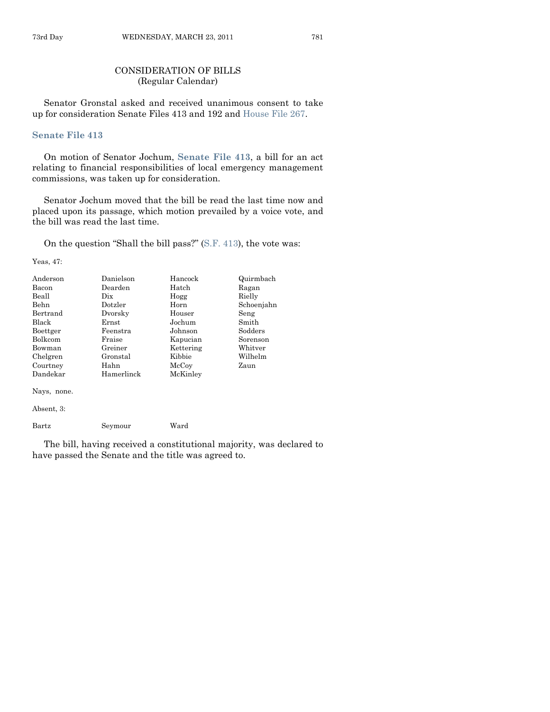# CONSIDERATION OF BILLS (Regular Calendar)

Senator Gronstal asked and received unanimous consent to take up for consideration Senate Files 413 and 192 and [House File 267.](http://coolice.legis.state.ia.us/Cool-ICE/default.asp?Category=billinfo&Service=Billbook&frame=1&GA=84&hbill=HF267)

#### **[Senate File 413](http://coolice.legis.state.ia.us/Cool-ICE/default.asp?Category=billinfo&Service=Billbook&frame=1&GA=84&hbill=SF413)**

On motion of Senator Jochum, **[Senate File 413](http://coolice.legis.state.ia.us/Cool-ICE/default.asp?Category=billinfo&Service=Billbook&frame=1&GA=84&hbill=SF413)**, a bill for an act relating to financial responsibilities of local emergency management commissions, was taken up for consideration.

Senator Jochum moved that the bill be read the last time now and placed upon its passage, which motion prevailed by a voice vote, and the bill was read the last time.

On the question "Shall the bill pass?" [\(S.F. 413\)](http://coolice.legis.state.ia.us/Cool-ICE/default.asp?Category=billinfo&Service=Billbook&frame=1&GA=84&hbill=SF413), the vote was:

Yeas, 47:

| Anderson     | Danielson  | Hancock   | Quirmbach  |
|--------------|------------|-----------|------------|
| Bacon        | Dearden    | Hatch     | Ragan      |
| Beall        | Dix        | Hogg      | Rielly     |
| Behn         | Dotzler    | Horn      | Schoenjahn |
| Bertrand     | Dvorsky    | Houser    | Seng       |
| <b>Black</b> | Ernst      | Jochum    | Smith      |
| Boettger     | Feenstra   | Johnson   | Sodders    |
| Bolkcom      | Fraise     | Kapucian  | Sorenson   |
| Bowman       | Greiner    | Kettering | Whitver    |
| Chelgren     | Gronstal   | Kibbie    | Wilhelm    |
| Courtney     | Hahn       | McCoy     | Zaun       |
| Dandekar     | Hamerlinck | McKinley  |            |
| Nays, none.  |            |           |            |

Absent, 3:

Bartz Seymour Ward

The bill, having received a constitutional majority, was declared to have passed the Senate and the title was agreed to.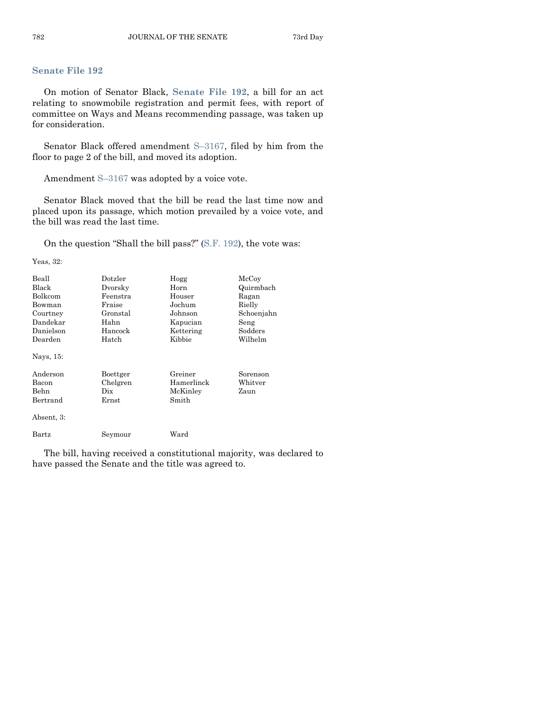# **[Senate File 192](http://coolice.legis.state.ia.us/Cool-ICE/default.asp?Category=billinfo&Service=Billbook&frame=1&GA=84&hbill=SF192)**

On motion of Senator Black, **[Senate File 192](http://coolice.legis.state.ia.us/Cool-ICE/default.asp?Category=billinfo&Service=Billbook&frame=1&GA=84&hbill=SF192)**, a bill for an act relating to snowmobile registration and permit fees, with report of committee on Ways and Means recommending passage, was taken up for consideration.

Senator Black offered amendment S–[3167,](http://coolice.legis.state.ia.us/Cool-ICE/default.asp?Category=billinfo&Service=Billbook&frame=1&GA=84&hbill=S3167) filed by him from the floor to page 2 of the bill, and moved its adoption.

Amendment S–[3167](http://coolice.legis.state.ia.us/Cool-ICE/default.asp?Category=billinfo&Service=Billbook&frame=1&GA=84&hbill=S3167) was adopted by a voice vote.

Senator Black moved that the bill be read the last time now and placed upon its passage, which motion prevailed by a voice vote, and the bill was read the last time.

On the question "Shall the bill pass?" [\(S.F. 192\)](http://coolice.legis.state.ia.us/Cool-ICE/default.asp?Category=billinfo&Service=Billbook&frame=1&GA=84&hbill=SF192), the vote was:

Yeas, 32:

| Beall<br>Black<br>Bolkcom<br>Bowman<br>Courtney<br>Dandekar<br>Danielson<br>Dearden<br>Nays, 15: | Dotzler<br>Dvorsky<br>Feenstra<br>Fraise<br>Gronstal<br>Hahn<br>Hancock<br>Hatch | Hogg<br>Horn<br>Houser<br>Jochum<br>Johnson<br>Kapucian<br>Kettering<br>Kibbie | McCoy<br>Quirmbach<br>Ragan<br>Rielly<br>Schoenjahn<br>Seng<br>Sodders<br>Wilhelm |
|--------------------------------------------------------------------------------------------------|----------------------------------------------------------------------------------|--------------------------------------------------------------------------------|-----------------------------------------------------------------------------------|
| Anderson<br>Bacon<br>Behn<br>Bertrand<br>Absent, 3:                                              | Boettger<br>Chelgren<br>Dix<br>Ernst                                             | Greiner<br>Hamerlinck<br>McKinley<br>Smith                                     | Sorenson<br>Whitver<br>Zaun                                                       |
| Bartz                                                                                            | Seymour                                                                          | Ward                                                                           |                                                                                   |

The bill, having received a constitutional majority, was declared to have passed the Senate and the title was agreed to.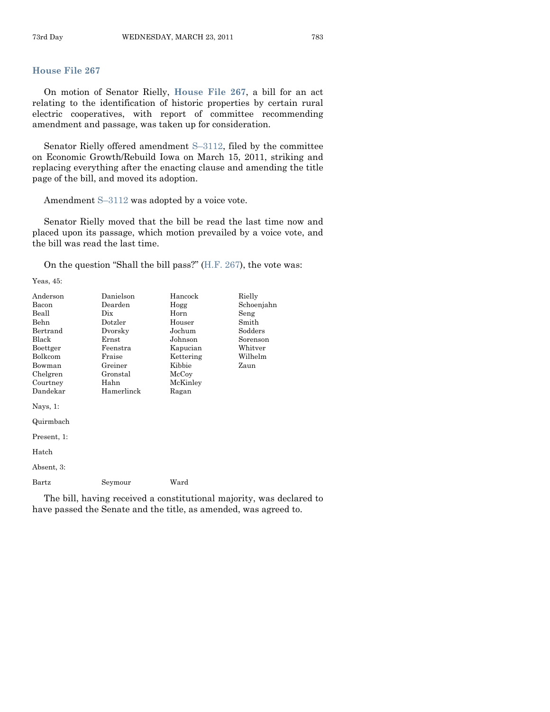# **[House File 267](http://coolice.legis.state.ia.us/Cool-ICE/default.asp?Category=billinfo&Service=Billbook&frame=1&GA=84&hbill=HF267)**

On motion of Senator Rielly, **[House File 267](http://coolice.legis.state.ia.us/Cool-ICE/default.asp?Category=billinfo&Service=Billbook&frame=1&GA=84&hbill=HF267)**, a bill for an act relating to the identification of historic properties by certain rural electric cooperatives, with report of committee recommending amendment and passage, was taken up for consideration.

Senator Rielly offered amendment S–[3112,](http://coolice.legis.state.ia.us/Cool-ICE/default.asp?Category=billinfo&Service=Billbook&frame=1&GA=84&hbill=S3112) filed by the committee on Economic Growth/Rebuild Iowa on March 15, 2011, striking and replacing everything after the enacting clause and amending the title page of the bill, and moved its adoption.

Amendment S–[3112](http://coolice.legis.state.ia.us/Cool-ICE/default.asp?Category=billinfo&Service=Billbook&frame=1&GA=84&hbill=S3112) was adopted by a voice vote.

Senator Rielly moved that the bill be read the last time now and placed upon its passage, which motion prevailed by a voice vote, and the bill was read the last time.

On the question "Shall the bill pass?"  $(H.F. 267)$ , the vote was:

Yeas, 45:

| Anderson     | Danielson                       | Hancock   | Rielly     |
|--------------|---------------------------------|-----------|------------|
| Bacon        | Dearden                         | Hogg      | Schoenjahn |
| Beall        | $_{\rm \scriptscriptstyle Dix}$ | Horn      | Seng       |
| Behn         | Dotzler                         | Houser    | Smith      |
| Bertrand     | Dvorsky                         | Jochum    | Sodders    |
| Black        | $\rm Ernst$                     | Johnson   | Sorenson   |
| Boettger     | Feenstra                        | Kapucian  | Whitver    |
| Bolkcom      | Fraise                          | Kettering | Wilhelm    |
| Bowman       | Greiner                         | Kibbie    | Zaun       |
| Chelgren     | Gronstal                        | McCoy     |            |
| Courtney     | Hahn                            | McKinley  |            |
| Dandekar     | Hamerlinck                      | Ragan     |            |
| Nays, $1$ :  |                                 |           |            |
| Quirmbach    |                                 |           |            |
| Present, 1:  |                                 |           |            |
| Hatch        |                                 |           |            |
| Absent, 3:   |                                 |           |            |
| $\rm{Bartz}$ | Seymour                         | Ward      |            |

The bill, having received a constitutional majority, was declared to have passed the Senate and the title, as amended, was agreed to.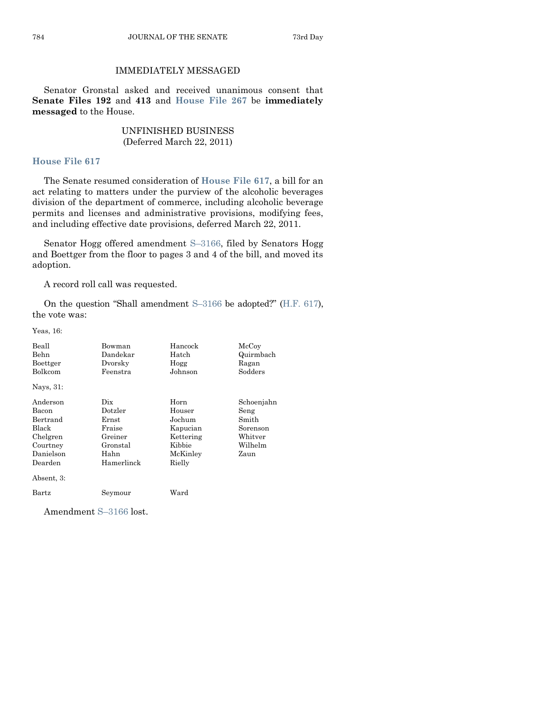# IMMEDIATELY MESSAGED

Senator Gronstal asked and received unanimous consent that **Senate Files 192** and **413** and **[House File 267](http://coolice.legis.state.ia.us/Cool-ICE/default.asp?Category=billinfo&Service=Billbook&frame=1&GA=84&hbill=HF267)** be **immediately messaged** to the House.

# UNFINISHED BUSINESS (Deferred March 22, 2011)

#### **[House File 617](http://coolice.legis.state.ia.us/Cool-ICE/default.asp?Category=billinfo&Service=Billbook&frame=1&GA=84&hbill=HF617)**

The Senate resumed consideration of **[House File 617](http://coolice.legis.state.ia.us/Cool-ICE/default.asp?Category=billinfo&Service=Billbook&frame=1&GA=84&hbill=HF617)**, a bill for an act relating to matters under the purview of the alcoholic beverages division of the department of commerce, including alcoholic beverage permits and licenses and administrative provisions, modifying fees, and including effective date provisions, deferred March 22, 2011.

Senator Hogg offered amendment S–[3166,](http://coolice.legis.state.ia.us/Cool-ICE/default.asp?Category=billinfo&Service=Billbook&frame=1&GA=84&hbill=S3166) filed by Senators Hogg and Boettger from the floor to pages 3 and 4 of the bill, and moved its adoption.

A record roll call was requested.

On the question "Shall amendment  $S-3166$  $S-3166$  be adopted?" [\(H.F. 617\)](http://coolice.legis.state.ia.us/Cool-ICE/default.asp?Category=billinfo&Service=Billbook&frame=1&GA=84&hbill=HF617), the vote was:

Yeas, 16:

| Beall<br>Behn<br>Boettger<br>Bolkcom<br>Nays, 31:                                                    | Bowman<br>Dandekar<br>Dvorsky<br>Feenstra                                      | Hancock<br>Hatch<br>Hogg<br>Johnson                                               | McCoy<br>Quirmbach<br>Ragan<br>Sodders                                                 |
|------------------------------------------------------------------------------------------------------|--------------------------------------------------------------------------------|-----------------------------------------------------------------------------------|----------------------------------------------------------------------------------------|
| Anderson<br>Bacon<br>Bertrand<br>Black<br>Chelgren<br>Courtney<br>Danielson<br>Dearden<br>Absent, 3: | Dix<br>Dotzler<br>Ernst<br>Fraise<br>Greiner<br>Gronstal<br>Hahn<br>Hamerlinck | Horn<br>Houser<br>Jochum<br>Kapucian<br>Kettering<br>Kibbie<br>McKinley<br>Rielly | Schoenjahn<br>Seng<br>Smith<br>Sorenson<br>$\operatorname{Whitver}$<br>Wilhelm<br>Zaun |
| Bartz                                                                                                | Seymour                                                                        | Ward                                                                              |                                                                                        |

Amendment S–[3166](http://coolice.legis.state.ia.us/Cool-ICE/default.asp?Category=billinfo&Service=Billbook&frame=1&GA=84&hbill=S3166) lost.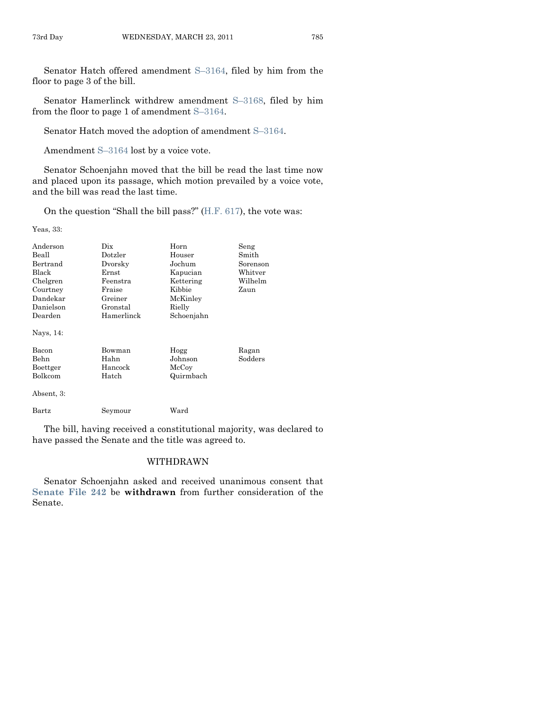Senator Hatch offered amendment S–[3164,](http://coolice.legis.state.ia.us/Cool-ICE/default.asp?Category=billinfo&Service=Billbook&frame=1&GA=84&hbill=S3164) filed by him from the floor to page 3 of the bill.

Senator Hamerlinck withdrew amendment S–[3168,](http://coolice.legis.state.ia.us/Cool-ICE/default.asp?Category=billinfo&Service=Billbook&frame=1&GA=84&hbill=S3168) filed by him from the floor to page 1 of amendment S–[3164.](http://coolice.legis.state.ia.us/Cool-ICE/default.asp?Category=billinfo&Service=Billbook&frame=1&GA=84&hbill=S3164)

Senator Hatch moved the adoption of amendment S–[3164.](http://coolice.legis.state.ia.us/Cool-ICE/default.asp?Category=billinfo&Service=Billbook&frame=1&GA=84&hbill=S3164)

Amendment S–[3164](http://coolice.legis.state.ia.us/Cool-ICE/default.asp?Category=billinfo&Service=Billbook&frame=1&GA=84&hbill=S3164) lost by a voice vote.

Senator Schoenjahn moved that the bill be read the last time now and placed upon its passage, which motion prevailed by a voice vote, and the bill was read the last time.

On the question "Shall the bill pass?"  $(H.F. 617)$ , the vote was:

Yeas, 33:

| Anderson<br>Beall<br>Bertrand<br><b>Black</b><br>Chelgren<br>Courtney<br>Dandekar<br>Danielson<br>Dearden | Dix<br>Dotzler<br>Dvorsky<br>Ernst<br>Feenstra<br>Fraise<br>Greiner<br>Gronstal<br>Hamerlinck | Horn<br>Houser<br>Jochum<br>Kapucian<br>Kettering<br>Kibbie<br>McKinley<br>Rielly<br>Schoenjahn | Seng<br>Smith<br>Sorenson<br>Whitver<br>Wilhelm<br>Zaun |
|-----------------------------------------------------------------------------------------------------------|-----------------------------------------------------------------------------------------------|-------------------------------------------------------------------------------------------------|---------------------------------------------------------|
| Nays, 14:                                                                                                 |                                                                                               |                                                                                                 |                                                         |
| Bacon<br>Behn<br>Boettger<br>Bolkcom                                                                      | Bowman<br>Hahn<br>Hancock<br>Hatch                                                            | Hogg<br>Johnson<br>McCoy<br>Quirmbach                                                           | Ragan<br>Sodders                                        |
| Absent, 3:                                                                                                |                                                                                               |                                                                                                 |                                                         |
| Bartz                                                                                                     | Seymour                                                                                       | Ward                                                                                            |                                                         |

The bill, having received a constitutional majority, was declared to have passed the Senate and the title was agreed to.

# WITHDRAWN

Senator Schoenjahn asked and received unanimous consent that **[Senate File 242](http://coolice.legis.state.ia.us/Cool-ICE/default.asp?Category=billinfo&Service=Billbook&frame=1&GA=84&hbill=SF242)** be **withdrawn** from further consideration of the Senate.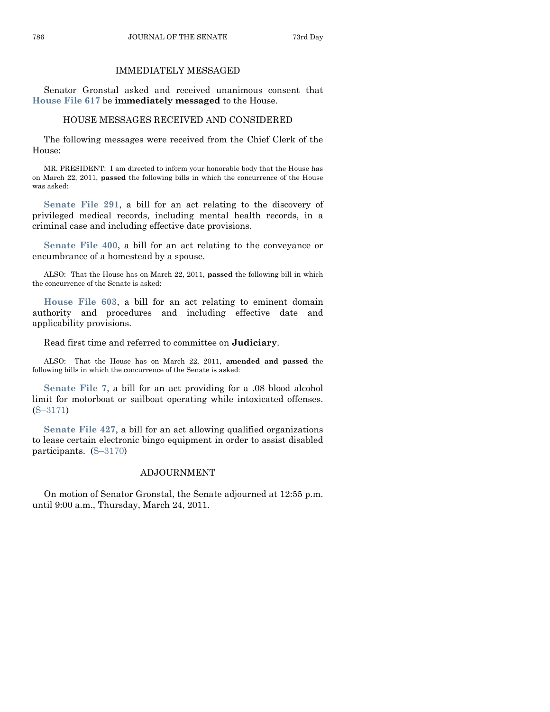# IMMEDIATELY MESSAGED

Senator Gronstal asked and received unanimous consent that **[House File 617](http://coolice.legis.state.ia.us/Cool-ICE/default.asp?Category=billinfo&Service=Billbook&frame=1&GA=84&hbill=HF617)** be **immediately messaged** to the House.

#### HOUSE MESSAGES RECEIVED AND CONSIDERED

The following messages were received from the Chief Clerk of the House:

MR. PRESIDENT: I am directed to inform your honorable body that the House has on March 22, 2011, **passed** the following bills in which the concurrence of the House was asked:

**[Senate File 291](http://coolice.legis.state.ia.us/Cool-ICE/default.asp?Category=billinfo&Service=Billbook&frame=1&GA=84&hbill=SF291)**, a bill for an act relating to the discovery of privileged medical records, including mental health records, in a criminal case and including effective date provisions.

**[Senate File 400](http://coolice.legis.state.ia.us/Cool-ICE/default.asp?Category=billinfo&Service=Billbook&frame=1&GA=84&hbill=SF400)**, a bill for an act relating to the conveyance or encumbrance of a homestead by a spouse.

ALSO: That the House has on March 22, 2011, **passed** the following bill in which the concurrence of the Senate is asked:

**[House File 603](http://coolice.legis.state.ia.us/Cool-ICE/default.asp?Category=billinfo&Service=Billbook&frame=1&GA=84&hbill=HF603)**, a bill for an act relating to eminent domain authority and procedures and including effective date and applicability provisions.

Read first time and referred to committee on **Judiciary**.

ALSO: That the House has on March 22, 2011, **amended and passed** the following bills in which the concurrence of the Senate is asked:

**[Senate File 7](http://coolice.legis.state.ia.us/Cool-ICE/default.asp?Category=billinfo&Service=Billbook&frame=1&GA=84&hbill=SF7)**, a bill for an act providing for a .08 blood alcohol limit for motorboat or sailboat operating while intoxicated offenses. (S–[3171\)](http://coolice.legis.state.ia.us/Cool-ICE/default.asp?Category=billinfo&Service=Billbook&frame=1&GA=84&hbill=S3171)

**[Senate File 427](http://coolice.legis.state.ia.us/Cool-ICE/default.asp?Category=billinfo&Service=Billbook&frame=1&GA=84&hbill=SF427)**, a bill for an act allowing qualified organizations to lease certain electronic bingo equipment in order to assist disabled participants. (S–[3170\)](http://coolice.legis.state.ia.us/Cool-ICE/default.asp?Category=billinfo&Service=Billbook&frame=1&GA=84&hbill=S3170)

#### ADJOURNMENT

On motion of Senator Gronstal, the Senate adjourned at 12:55 p.m. until 9:00 a.m., Thursday, March 24, 2011.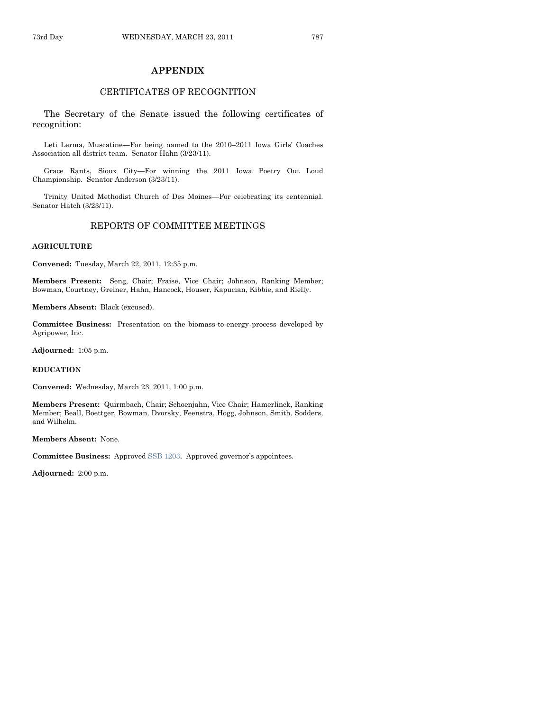#### **APPENDIX**

# CERTIFICATES OF RECOGNITION

The Secretary of the Senate issued the following certificates of recognition:

Leti Lerma, Muscatine—For being named to the 2010–2011 Iowa Girls' Coaches Association all district team. Senator Hahn (3/23/11).

Grace Rants, Sioux City—For winning the 2011 Iowa Poetry Out Loud Championship. Senator Anderson (3/23/11).

Trinity United Methodist Church of Des Moines—For celebrating its centennial. Senator Hatch (3/23/11).

#### REPORTS OF COMMITTEE MEETINGS

#### **AGRICULTURE**

**Convened:** Tuesday, March 22, 2011, 12:35 p.m.

**Members Present:** Seng, Chair; Fraise, Vice Chair; Johnson, Ranking Member; Bowman, Courtney, Greiner, Hahn, Hancock, Houser, Kapucian, Kibbie, and Rielly.

**Members Absent:** Black (excused).

**Committee Business:** Presentation on the biomass-to-energy process developed by Agripower, Inc.

**Adjourned:** 1:05 p.m.

#### **EDUCATION**

**Convened:** Wednesday, March 23, 2011, 1:00 p.m.

**Members Present:** Quirmbach, Chair; Schoenjahn, Vice Chair; Hamerlinck, Ranking Member; Beall, Boettger, Bowman, Dvorsky, Feenstra, Hogg, Johnson, Smith, Sodders, and Wilhelm.

#### **Members Absent:** None.

**Committee Business:** Approved [SSB 1203](http://coolice.legis.state.ia.us/Cool-ICE/default.asp?Category=billinfo&Service=Billbook&frame=1&GA=84&hbill=SSB1203). Approved governor's appointees.

**Adjourned:** 2:00 p.m.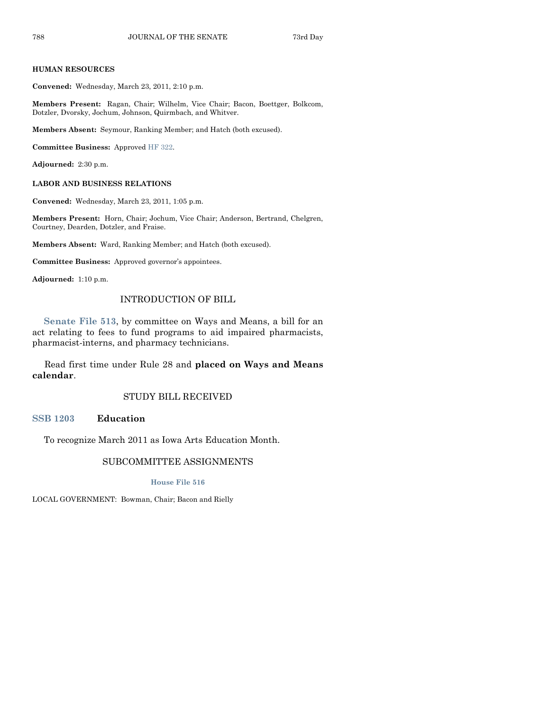#### **HUMAN RESOURCES**

**Convened:** Wednesday, March 23, 2011, 2:10 p.m.

**Members Present:** Ragan, Chair; Wilhelm, Vice Chair; Bacon, Boettger, Bolkcom, Dotzler, Dvorsky, Jochum, Johnson, Quirmbach, and Whitver.

**Members Absent:** Seymour, Ranking Member; and Hatch (both excused).

**Committee Business:** Approved [HF 322.](http://coolice.legis.state.ia.us/Cool-ICE/default.asp?Category=billinfo&Service=Billbook&frame=1&GA=84&hbill=HF322)

**Adjourned:** 2:30 p.m.

#### **LABOR AND BUSINESS RELATIONS**

**Convened:** Wednesday, March 23, 2011, 1:05 p.m.

**Members Present:** Horn, Chair; Jochum, Vice Chair; Anderson, Bertrand, Chelgren, Courtney, Dearden, Dotzler, and Fraise.

**Members Absent:** Ward, Ranking Member; and Hatch (both excused).

**Committee Business:** Approved governor's appointees.

**Adjourned:** 1:10 p.m.

#### INTRODUCTION OF BILL

**[Senate File 513](http://coolice.legis.state.ia.us/Cool-ICE/default.asp?Category=billinfo&Service=Billbook&frame=1&GA=84&hbill=SF513)**, by committee on Ways and Means, a bill for an act relating to fees to fund programs to aid impaired pharmacists, pharmacist-interns, and pharmacy technicians.

Read first time under Rule 28 and **placed on Ways and Means calendar**.

#### STUDY BILL RECEIVED

**[SSB 1203](http://coolice.legis.state.ia.us/Cool-ICE/default.asp?Category=billinfo&Service=Billbook&frame=1&GA=84&hbill=SSB1203) Education**

To recognize March 2011 as Iowa Arts Education Month.

# SUBCOMMITTEE ASSIGNMENTS

**[House File 516](http://coolice.legis.state.ia.us/Cool-ICE/default.asp?Category=billinfo&Service=Billbook&frame=1&GA=84&hbill=HF516)**

LOCAL GOVERNMENT: Bowman, Chair; Bacon and Rielly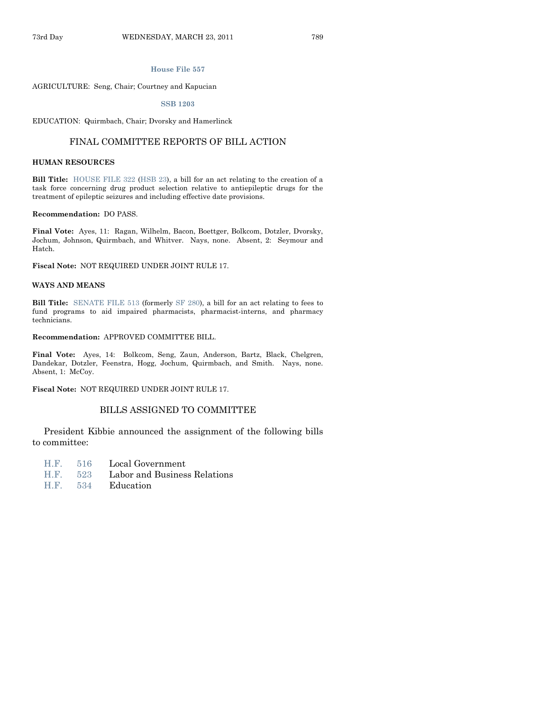#### **[House File 557](http://coolice.legis.state.ia.us/Cool-ICE/default.asp?Category=billinfo&Service=Billbook&frame=1&GA=84&hbill=HF557)**

#### AGRICULTURE: Seng, Chair; Courtney and Kapucian

#### **[SSB 1203](http://coolice.legis.state.ia.us/Cool-ICE/default.asp?Category=billinfo&Service=Billbook&frame=1&GA=84&hbill=SSB1203)**

EDUCATION: Quirmbach, Chair; Dvorsky and Hamerlinck

#### FINAL COMMITTEE REPORTS OF BILL ACTION

#### **HUMAN RESOURCES**

**Bill Title:** [HOUSE FILE 322](http://coolice.legis.state.ia.us/Cool-ICE/default.asp?Category=billinfo&Service=Billbook&frame=1&GA=84&hbill=HF322) [\(HSB 23\)](http://coolice.legis.state.ia.us/Cool-ICE/default.asp?Category=billinfo&Service=Billbook&frame=1&GA=84&hbill=HSB23), a bill for an act relating to the creation of a task force concerning drug product selection relative to antiepileptic drugs for the treatment of epileptic seizures and including effective date provisions.

#### **Recommendation:** DO PASS.

**Final Vote:** Ayes, 11: Ragan, Wilhelm, Bacon, Boettger, Bolkcom, Dotzler, Dvorsky, Jochum, Johnson, Quirmbach, and Whitver. Nays, none. Absent, 2: Seymour and Hatch.

**Fiscal Note:** NOT REQUIRED UNDER JOINT RULE 17.

#### **WAYS AND MEANS**

**Bill Title:** [SENATE FILE 513](http://coolice.legis.state.ia.us/Cool-ICE/default.asp?Category=billinfo&Service=Billbook&frame=1&GA=84&hbill=SF513) (formerly [SF 280\)](http://coolice.legis.state.ia.us/Cool-ICE/default.asp?Category=billinfo&Service=Billbook&frame=1&GA=84&hbill=SF280), a bill for an act relating to fees to fund programs to aid impaired pharmacists, pharmacist-interns, and pharmacy technicians.

#### **Recommendation:** APPROVED COMMITTEE BILL.

**Final Vote:** Ayes, 14: Bolkcom, Seng, Zaun, Anderson, Bartz, Black, Chelgren, Dandekar, Dotzler, Feenstra, Hogg, Jochum, Quirmbach, and Smith. Nays, none. Absent, 1: McCoy.

**Fiscal Note:** NOT REQUIRED UNDER JOINT RULE 17.

#### BILLS ASSIGNED TO COMMITTEE

President Kibbie announced the assignment of the following bills to committee:

- [H.F.](http://coolice.legis.state.ia.us/Cool-ICE/default.asp?Category=billinfo&Service=Billbook&frame=1&GA=84&hbill=HF516) 516 Local Government
- [H.F.](http://coolice.legis.state.ia.us/Cool-ICE/default.asp?Category=billinfo&Service=Billbook&frame=1&GA=84&hbill=HF523) 523 Labor and Business Relations
- [H.F.](http://coolice.legis.state.ia.us/Cool-ICE/default.asp?Category=billinfo&Service=Billbook&frame=1&GA=84&hbill=HF534) 534 Education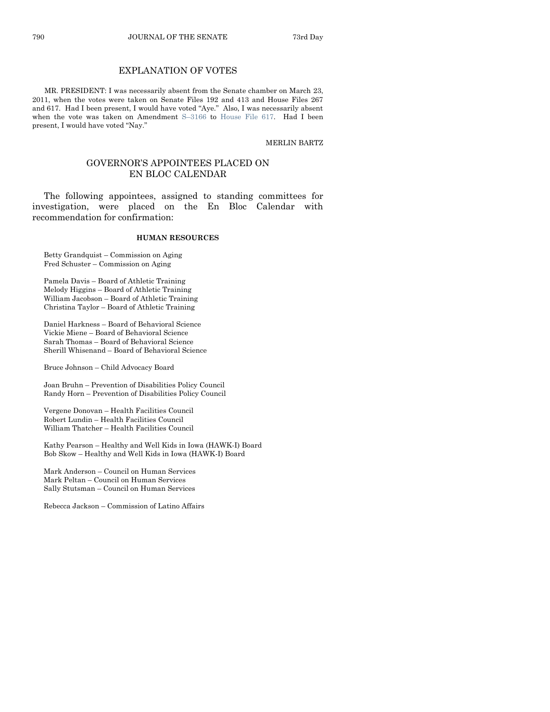# EXPLANATION OF VOTES

MR. PRESIDENT: I was necessarily absent from the Senate chamber on March 23, 2011, when the votes were taken on Senate Files 192 and 413 and House Files 267 and 617. Had I been present, I would have voted "Aye." Also, I was necessarily absent when the vote was taken on Amendment S–[3166](http://coolice.legis.state.ia.us/Cool-ICE/default.asp?Category=billinfo&Service=Billbook&frame=1&GA=84&hbill=S3166) to [House File 617.](http://coolice.legis.state.ia.us/Cool-ICE/default.asp?Category=billinfo&Service=Billbook&frame=1&GA=84&hbill=HF617) Had I been present, I would have voted "Nay."

MERLIN BARTZ

#### GOVERNOR'S APPOINTEES PLACED ON EN BLOC CALENDAR

The following appointees, assigned to standing committees for investigation, were placed on the En Bloc Calendar with recommendation for confirmation:

#### **HUMAN RESOURCES**

Betty Grandquist – Commission on Aging Fred Schuster – Commission on Aging

Pamela Davis – Board of Athletic Training Melody Higgins – Board of Athletic Training William Jacobson – Board of Athletic Training Christina Taylor – Board of Athletic Training

Daniel Harkness – Board of Behavioral Science Vickie Miene – Board of Behavioral Science Sarah Thomas – Board of Behavioral Science Sherill Whisenand – Board of Behavioral Science

Bruce Johnson – Child Advocacy Board

Joan Bruhn – Prevention of Disabilities Policy Council Randy Horn – Prevention of Disabilities Policy Council

Vergene Donovan – Health Facilities Council Robert Lundin – Health Facilities Council William Thatcher – Health Facilities Council

Kathy Pearson – Healthy and Well Kids in Iowa (HAWK-I) Board Bob Skow – Healthy and Well Kids in Iowa (HAWK-I) Board

Mark Anderson – Council on Human Services Mark Peltan – Council on Human Services Sally Stutsman – Council on Human Services

Rebecca Jackson – Commission of Latino Affairs